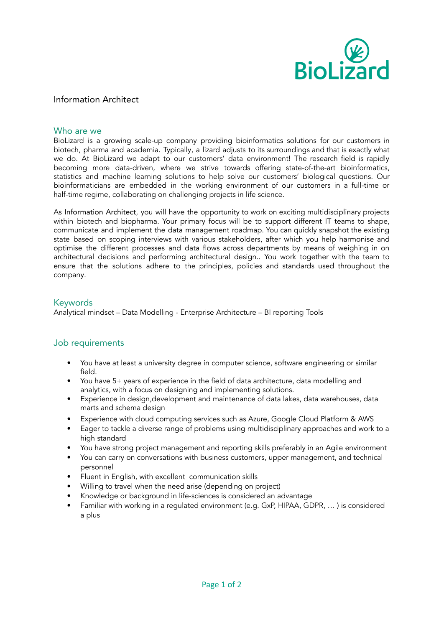

## Information Architect

#### Who are we

BioLizard is a growing scale-up company providing bioinformatics solutions for our customers in biotech, pharma and academia. Typically, a lizard adjusts to its surroundings and that is exactly what we do. At BioLizard we adapt to our customers' data environment! The research field is rapidly becoming more data-driven, where we strive towards offering state-of-the-art bioinformatics, statistics and machine learning solutions to help solve our customers' biological questions. Our bioinformaticians are embedded in the working environment of our customers in a full-time or half-time regime, collaborating on challenging projects in life science.

As Information Architect, you will have the opportunity to work on exciting multidisciplinary projects within biotech and biopharma. Your primary focus will be to support different IT teams to shape, communicate and implement the data management roadmap. You can quickly snapshot the existing state based on scoping interviews with various stakeholders, after which you help harmonise and optimise the different processes and data flows across departments by means of weighing in on architectural decisions and performing architectural design.. You work together with the team to ensure that the solutions adhere to the principles, policies and standards used throughout the company.

#### **Keywords**

Analytical mindset – Data Modelling - Enterprise Architecture – BI reporting Tools

#### Job requirements

- You have at least a university degree in computer science, software engineering or similar field.
- You have 5+ years of experience in the field of data architecture, data modelling and analytics, with a focus on designing and implementing solutions.
- Experience in design,development and maintenance of data lakes, data warehouses, data marts and schema design
- Experience with cloud computing services such as Azure, Google Cloud Platform & AWS
- Eager to tackle a diverse range of problems using multidisciplinary approaches and work to a high standard
- You have strong project management and reporting skills preferably in an Agile environment
- You can carry on conversations with business customers, upper management, and technical personnel
- Fluent in English, with excellent communication skills
- Willing to travel when the need arise (depending on project)
- Knowledge or background in life-sciences is considered an advantage
- Familiar with working in a regulated environment (e.g. GxP, HIPAA, GDPR, … ) is considered a plus